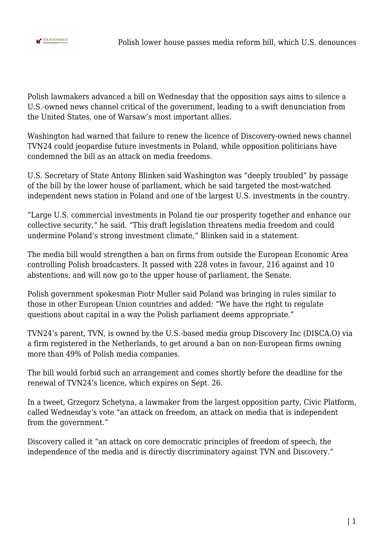

Polish lawmakers advanced a bill on Wednesday that the opposition says aims to silence a U.S.-owned news channel critical of the government, leading to a swift denunciation from the United States, one of Warsaw's most important allies.

Washington had warned that failure to renew the licence of Discovery-owned news channel TVN24 could jeopardise future investments in Poland, while opposition politicians have condemned the bill as an attack on media freedoms.

U.S. Secretary of State Antony Blinken said Washington was "deeply troubled" by passage of the bill by the lower house of parliament, which he said targeted the most-watched independent news station in Poland and one of the largest U.S. investments in the country.

"Large U.S. commercial investments in Poland tie our prosperity together and enhance our collective security," he said. "This draft legislation threatens media freedom and could undermine Poland's strong investment climate," Blinken said in a statement.

The media bill would strengthen a ban on firms from outside the European Economic Area controlling Polish broadcasters. It passed with 228 votes in favour, 216 against and 10 abstentions, and will now go to the upper house of parliament, the Senate.

Polish government spokesman Piotr Muller said Poland was bringing in rules similar to those in other European Union countries and added: "We have the right to regulate questions about capital in a way the Polish parliament deems appropriate."

TVN24's parent, TVN, is owned by the U.S.-based media group Discovery Inc (DISCA.O) via a firm registered in the Netherlands, to get around a ban on non-European firms owning more than 49% of Polish media companies.

The bill would forbid such an arrangement and comes shortly before the deadline for the renewal of TVN24's licence, which expires on Sept. 26.

In a tweet, Grzegorz Schetyna, a lawmaker from the largest opposition party, Civic Platform, called Wednesday's vote "an attack on freedom, an attack on media that is independent from the government."

Discovery called it "an attack on core democratic principles of freedom of speech, the independence of the media and is directly discriminatory against TVN and Discovery."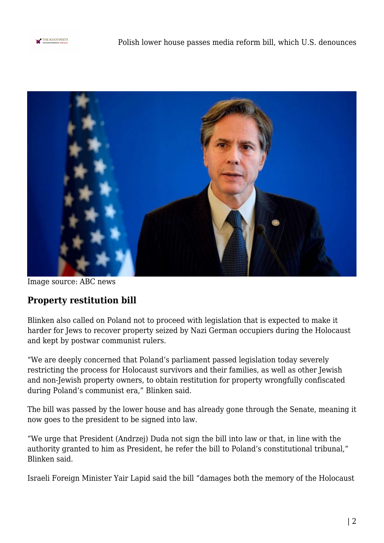



Image source: ABC news

## **Property restitution bill**

Blinken also called on Poland not to proceed with legislation that is expected to make it harder for Jews to recover property seized by Nazi German occupiers during the Holocaust and kept by postwar communist rulers.

"We are deeply concerned that Poland's parliament passed legislation today severely restricting the process for Holocaust survivors and their families, as well as other Jewish and non-Jewish property owners, to obtain restitution for property wrongfully confiscated during Poland's communist era," Blinken said.

The bill was passed by the lower house and has already gone through the Senate, meaning it now goes to the president to be signed into law.

"We urge that President (Andrzej) Duda not sign the bill into law or that, in line with the authority granted to him as President, he refer the bill to Poland's constitutional tribunal," Blinken said.

Israeli Foreign Minister Yair Lapid said the bill "damages both the memory of the Holocaust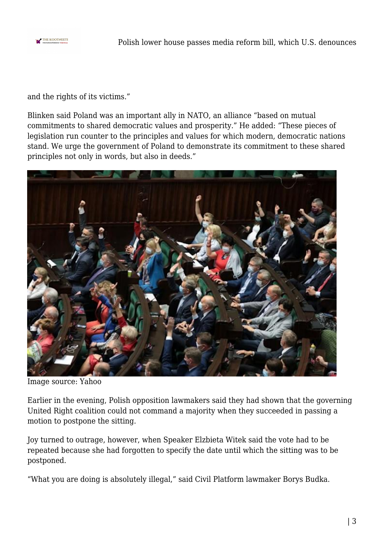

and the rights of its victims."

Blinken said Poland was an important ally in NATO, an alliance "based on mutual commitments to shared democratic values and prosperity." He added: "These pieces of legislation run counter to the principles and values for which modern, democratic nations stand. We urge the government of Poland to demonstrate its commitment to these shared principles not only in words, but also in deeds."



Image source: Yahoo

Earlier in the evening, Polish opposition lawmakers said they had shown that the governing United Right coalition could not command a majority when they succeeded in passing a motion to postpone the sitting.

Joy turned to outrage, however, when Speaker Elzbieta Witek said the vote had to be repeated because she had forgotten to specify the date until which the sitting was to be postponed.

"What you are doing is absolutely illegal," said Civil Platform lawmaker Borys Budka.